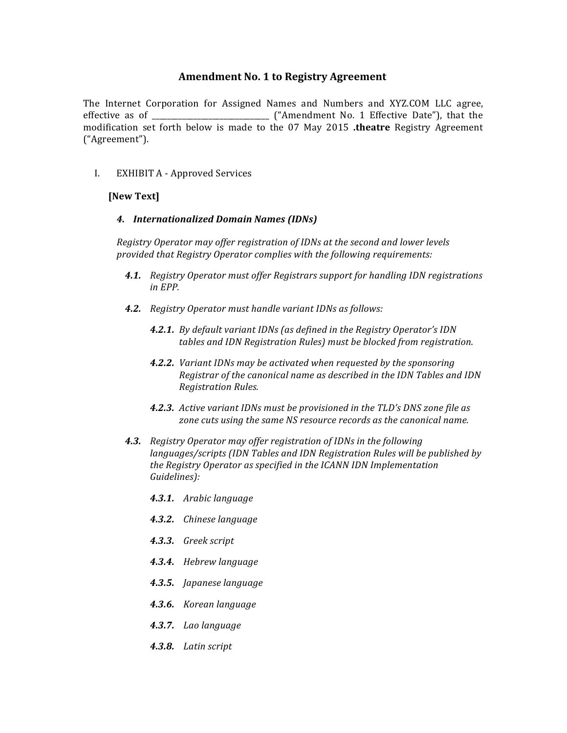# **Amendment No. 1 to Registry Agreement**

The Internet Corporation for Assigned Names and Numbers and XYZ.COM LLC agree, effective as of  $\_\_\_\_\_\_\_\_\_\_\_\_\_\_\_$  ("Amendment No. 1 Effective Date"), that the modification set forth below is made to the 07 May 2015 .theatre Registry Agreement ("Agreement").

I. EXHIBIT A - Approved Services

### **[New Text]**

#### *4. Internationalized Domain Names (IDNs)*

*Registry Operator may offer registration of IDNs at the second and lower levels provided that Registry Operator complies with the following requirements:*

- **4.1.** *Registry Operator must offer Registrars support for handling IDN registrations in EPP.*
- **4.2.** Registry Operator must handle variant IDNs as follows:
	- **4.2.1.** By default variant IDNs (as defined in the Registry Operator's IDN *tables and IDN Registration Rules)* must be blocked from registration.
	- **4.2.2.** *Variant IDNs may be activated when requested by the sponsoring Registrar of the canonical name as described in the IDN Tables and IDN Registration Rules.*
	- **4.2.3.** Active variant IDNs must be provisioned in the TLD's DNS zone file as zone cuts using the same NS resource records as the canonical name.
- **4.3.** *Registry Operator may offer registration of IDNs in the following languages/scripts* (IDN Tables and IDN Registration Rules will be published by *the Registry Operator as specified in the ICANN IDN Implementation Guidelines):*
	- *4.3.1. Arabic language*
	- *4.3.2. Chinese language*
	- *4.3.3. Greek script*
	- *4.3.4. Hebrew language*
	- *4.3.5. Japanese language*
	- *4.3.6. Korean language*
	- *4.3.7. Lao language*
	- *4.3.8. Latin script*